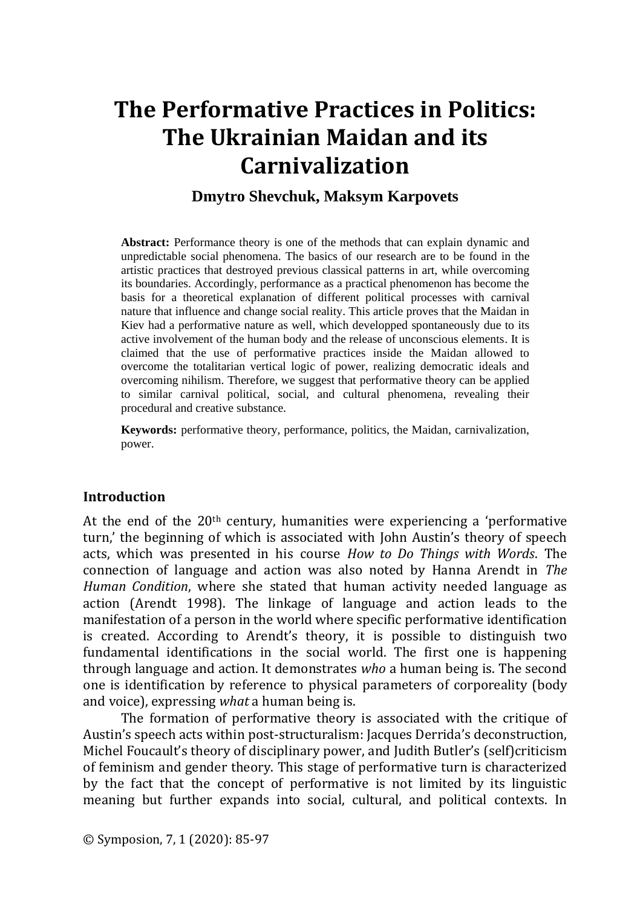# **Dmytro Shevchuk, Maksym Karpovets**

**Abstract:** Performance theory is one of the methods that can explain dynamic and unpredictable social phenomena. The basics of our research are to be found in the artistic practices that destroyed previous classical patterns in art, while overcoming its boundaries. Accordingly, performance as a practical phenomenon has become the basis for a theoretical explanation of different political processes with carnival nature that influence and change social reality. This article proves that the Maidan in Kiev had a performative nature as well, which developped spontaneously due to its active involvement of the human body and the release of unconscious elements. It is claimed that the use of performative practices inside the Maidan allowed to overcome the totalitarian vertical logic of power, realizing democratic ideals and overcoming nihilism. Therefore, we suggest that performative theory can be applied to similar carnival political, social, and cultural phenomena, revealing their procedural and creative substance.

**Keywords:** performative theory, performance, politics, the Maidan, carnivalization, power.

### **Introduction**

At the end of the  $20<sup>th</sup>$  century, humanities were experiencing a 'performative turn,' the beginning of which is associated with John Austin's theory of speech acts, which was presented in his course *How to Do Things with Words*. The connection of language and action was also noted by Hanna Arendt in *The Human Condition*, where she stated that human activity needed language as action (Arendt 1998). The linkage of language and action leads to the manifestation of a person in the world where specific performative identification is created. According to Arendt's theory, it is possible to distinguish two fundamental identifications in the social world. The first one is happening through language and action. It demonstrates *who* a human being is. The second one is identification by reference to physical parameters of corporeality (body and voice), expressing *what* a human being is.

The formation of performative theory is associated with the critique of Austin's speech acts within post-structuralism: Jacques Derrida's deconstruction, Michel Foucault's theory of disciplinary power, and Judith Butler's (self)criticism of feminism and gender theory. This stage of performative turn is characterized by the fact that the concept of performative is not limited by its linguistic meaning but further expands into social, cultural, and political contexts. In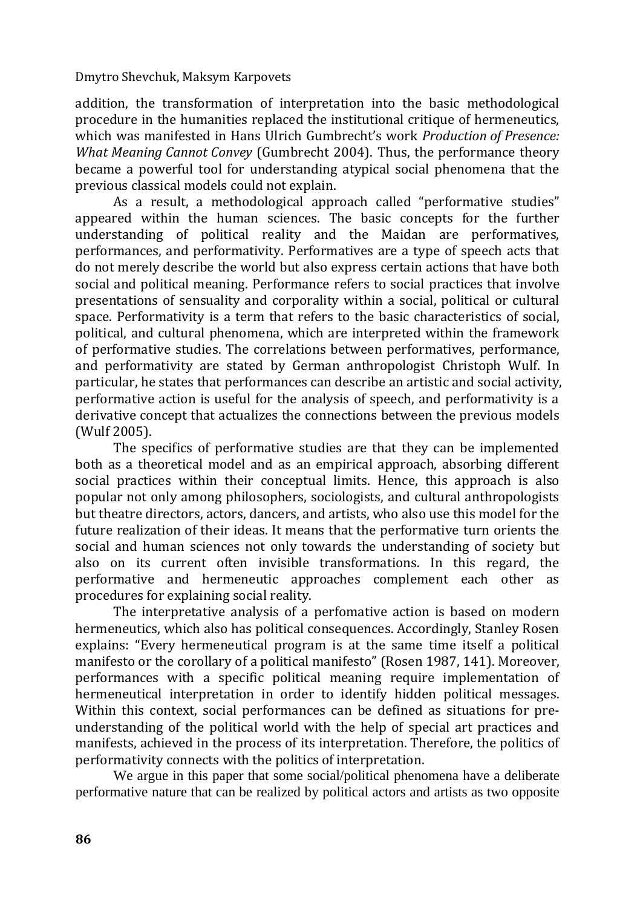addition, the transformation of interpretation into the basic methodological procedure in the humanities replaced the institutional critique of hermeneutics, which was manifested in Hans Ulrich Gumbrecht's work *Production of Presence: What Meaning Cannot Convey* (Gumbrecht 2004). Thus, the performance theory became a powerful tool for understanding atypical social phenomena that the previous classical models could not explain.

As a result, a methodological approach called "performative studies" appeared within the human sciences. The basic concepts for the further understanding of political reality and the Maidan are performatives, performances, and performativity. Performatives are a type of speech acts that do not merely describe the world but also express certain actions that have both social and political meaning. Performance refers to social practices that involve presentations of sensuality and corporality within a social, political or cultural space. Performativity is a term that refers to the basic characteristics of social, political, and cultural phenomena, which are interpreted within the framework of performative studies. The correlations between performatives, performance, and performativity are stated by German anthropologist Christoph Wulf. In particular, he states that performances can describe an artistic and social activity, performative action is useful for the analysis of speech, and performativity is a derivative concept that actualizes the connections between the previous models (Wulf 2005).

The specifics of performative studies are that they can be implemented both as a theoretical model and as an empirical approach, absorbing different social practices within their conceptual limits. Hence, this approach is also popular not only among philosophers, sociologists, and cultural anthropologists but theatre directors, actors, dancers, and artists, who also use this model for the future realization of their ideas. It means that the performative turn orients the social and human sciences not only towards the understanding of society but also on its current often invisible transformations. In this regard, the performative and hermeneutic approaches complement each other as procedures for explaining social reality.

The interpretative analysis of a perfomative action is based on modern hermeneutics, which also has political consequences. Accordingly, Stanley Rosen explains: "Every hermeneutical program is at the same time itself a political manifesto or the corollary of a political manifesto" (Rosen 1987, 141). Moreover, performances with a specific political meaning require implementation of hermeneutical interpretation in order to identify hidden political messages. Within this context, social performances can be defined as situations for preunderstanding of the political world with the help of special art practices and manifests, achieved in the process of its interpretation. Therefore, the politics of performativity connects with the politics of interpretation.

We argue in this paper that some social/political phenomena have a deliberate performative nature that can be realized by political actors and artists as two opposite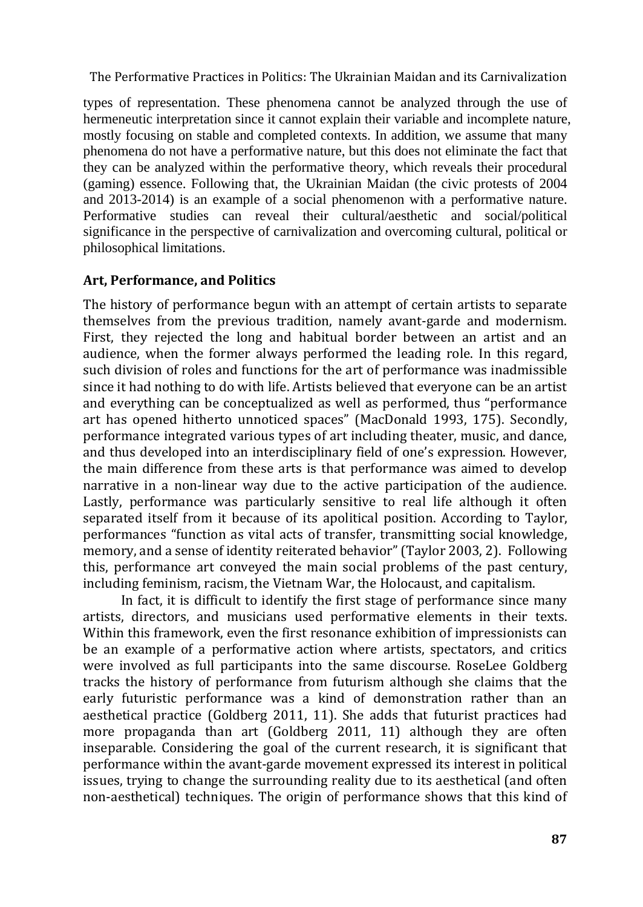types of representation. These phenomena cannot be analyzed through the use of hermeneutic interpretation since it cannot explain their variable and incomplete nature, mostly focusing on stable and completed contexts. In addition, we assume that many phenomena do not have a performative nature, but this does not eliminate the fact that they can be analyzed within the performative theory, which reveals their procedural (gaming) essence. Following that, the Ukrainian Maidan (the civic protests of 2004 and 2013-2014) is an example of a social phenomenon with a performative nature. Performative studies can reveal their cultural/aesthetic and social/political significance in the perspective of carnivalization and overcoming cultural, political or philosophical limitations.

## **Art, Performance, and Politics**

The history of performance begun with an attempt of certain artists to separate themselves from the previous tradition, namely avant-garde and modernism. First, they rejected the long and habitual border between an artist and an audience, when the former always performed the leading role. In this regard, such division of roles and functions for the art of performance was inadmissible since it had nothing to do with life. Artists believed that everyone can be an artist and everything can be conceptualized as well as performed, thus "performance art has opened hitherto unnoticed spaces" (MacDonald 1993, 175). Secondly, performance integrated various types of art including theater, music, and dance, and thus developed into an interdisciplinary field of one's expression. However, the main difference from these arts is that performance was aimed to develop narrative in a non-linear way due to the active participation of the audience. Lastly, performance was particularly sensitive to real life although it often separated itself from it because of its apolitical position. According to Taylor, performances "function as vital acts of transfer, transmitting social knowledge, memory, and a sense of identity reiterated behavior" (Taylor 2003, 2). Following this, performance art conveyed the main social problems of the past century, including feminism, racism, the Vietnam War, the Holocaust, and capitalism.

In fact, it is difficult to identify the first stage of performance since many artists, directors, and musicians used performative elements in their texts. Within this framework, even the first resonance exhibition of impressionists can be an example of a performative action where artists, spectators, and critics were involved as full participants into the same discourse. RoseLee Goldberg tracks the history of performance from futurism although she claims that the early futuristic performance was a kind of demonstration rather than an aesthetical practice (Goldberg 2011, 11). She adds that futurist practices had more propaganda than art (Goldberg 2011, 11) although they are often inseparable. Considering the goal of the current research, it is significant that performance within the avant-garde movement expressed its interest in political issues, trying to change the surrounding reality due to its aesthetical (and often non-aesthetical) techniques. The origin of performance shows that this kind of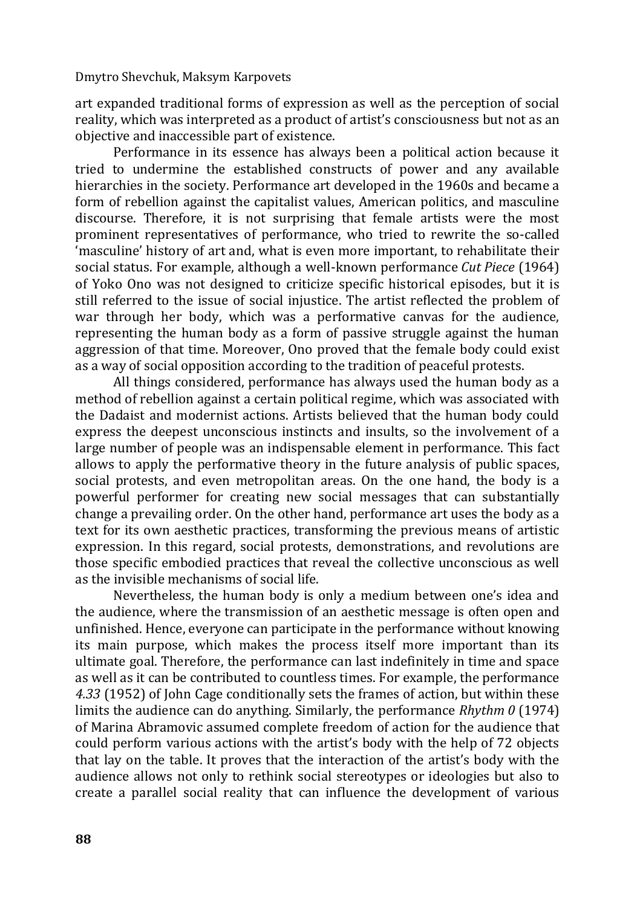art expanded traditional forms of expression as well as the perception of social reality, which was interpreted as a product of artist's consciousness but not as an objective and inaccessible part of existence.

Performance in its essence has always been a political action because it tried to undermine the established constructs of power and any available hierarchies in the society. Performance art developed in the 1960s and became a form of rebellion against the capitalist values, American politics, and masculine discourse. Therefore, it is not surprising that female artists were the most prominent representatives of performance, who tried to rewrite the so-called 'masculine' history of art and, what is even more important, to rehabilitate their social status. For example, although a well-known performance *Cut Piece* (1964) of Yoko Ono was not designed to criticize specific historical episodes, but it is still referred to the issue of social injustice. The artist reflected the problem of war through her body, which was a performative canvas for the audience, representing the human body as a form of passive struggle against the human aggression of that time. Moreover, Ono proved that the female body could exist as a way of social opposition according to the tradition of peaceful protests.

All things considered, performance has always used the human body as a method of rebellion against a certain political regime, which was associated with the Dadaist and modernist actions. Artists believed that the human body could express the deepest unconscious instincts and insults, so the involvement of a large number of people was an indispensable element in performance. This fact allows to apply the performative theory in the future analysis of public spaces, social protests, and even metropolitan areas. On the one hand, the body is a powerful performer for creating new social messages that can substantially change a prevailing order. On the other hand, performance art uses the body as a text for its own aesthetic practices, transforming the previous means of artistic expression. In this regard, social protests, demonstrations, and revolutions are those specific embodied practices that reveal the collective unconscious as well as the invisible mechanisms of social life.

Nevertheless, the human body is only a medium between one's idea and the audience, where the transmission of an aesthetic message is often open and unfinished. Hence, everyone can participate in the performance without knowing its main purpose, which makes the process itself more important than its ultimate goal. Therefore, the performance can last indefinitely in time and space as well as it can be contributed to countless times. For example, the performance *4.33* (1952) of John Cage conditionally sets the frames of action, but within these limits the audience can do anything. Similarly, the performance *Rhythm 0* (1974) of Marina Abramovic assumed complete freedom of action for the audience that could perform various actions with the artist's body with the help of 72 objects that lay on the table. It proves that the interaction of the artist's body with the audience allows not only to rethink social stereotypes or ideologies but also to create a parallel social reality that can influence the development of various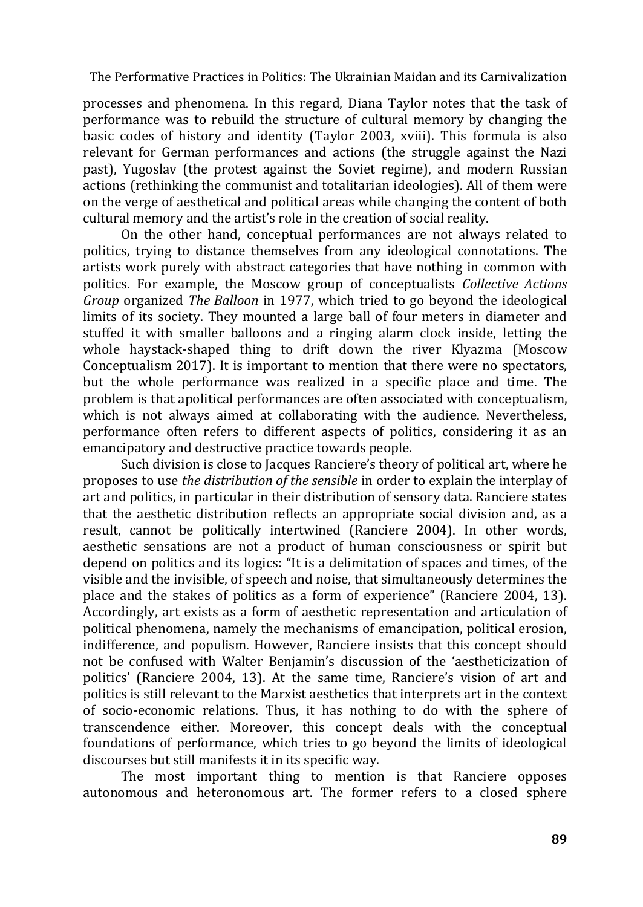processes and phenomena. In this regard, Diana Taylor notes that the task of performance was to rebuild the structure of cultural memory by changing the basic codes of history and identity (Taylor 2003, xviii). This formula is also relevant for German performances and actions (the struggle against the Nazi past), Yugoslav (the protest against the Soviet regime), and modern Russian actions (rethinking the communist and totalitarian ideologies). All of them were on the verge of aesthetical and political areas while changing the content of both cultural memory and the artist's role in the creation of social reality.

On the other hand, conceptual performances are not always related to politics, trying to distance themselves from any ideological connotations. The artists work purely with abstract categories that have nothing in common with politics. For example, the Moscow group of conceptualists *Collective Actions Group* organized *The Balloon* in 1977, which tried to go beyond the ideological limits of its society. They mounted a large ball of four meters in diameter and stuffed it with smaller balloons and a ringing alarm clock inside, letting the whole haystack-shaped thing to drift down the river Klyazma (Moscow Conceptualism 2017). It is important to mention that there were no spectators, but the whole performance was realized in a specific place and time. The problem is that apolitical performances are often associated with conceptualism, which is not always aimed at collaborating with the audience. Nevertheless, performance often refers to different aspects of politics, considering it as an emancipatory and destructive practice towards people.

Such division is close to Jacques Ranciere's theory of political art, where he proposes to use *the distribution of the sensible* in order to explain the interplay of art and politics, in particular in their distribution of sensory data. Ranciere states that the aesthetic distribution reflects an appropriate social division and, as a result, cannot be politically intertwined (Ranciere 2004). In other words, aesthetic sensations are not a product of human consciousness or spirit but depend on politics and its logics: "It is a delimitation of spaces and times, of the visible and the invisible, of speech and noise, that simultaneously determines the place and the stakes of politics as a form of experience" (Ranciere 2004, 13). Accordingly, art exists as a form of aesthetic representation and articulation of political phenomena, namely the mechanisms of emancipation, political erosion, indifference, and populism. However, Ranciere insists that this concept should not be confused with Walter Benjamin's discussion of the 'aestheticization of politics' (Ranciere 2004, 13). At the same time, Ranciere's vision of art and politics is still relevant to the Marxist aesthetics that interprets art in the context of socio-economic relations. Thus, it has nothing to do with the sphere of transcendence either. Moreover, this concept deals with the conceptual foundations of performance, which tries to go beyond the limits of ideological discourses but still manifests it in its specific way.

The most important thing to mention is that Ranciere opposes autonomous and heteronomous art. The former refers to a closed sphere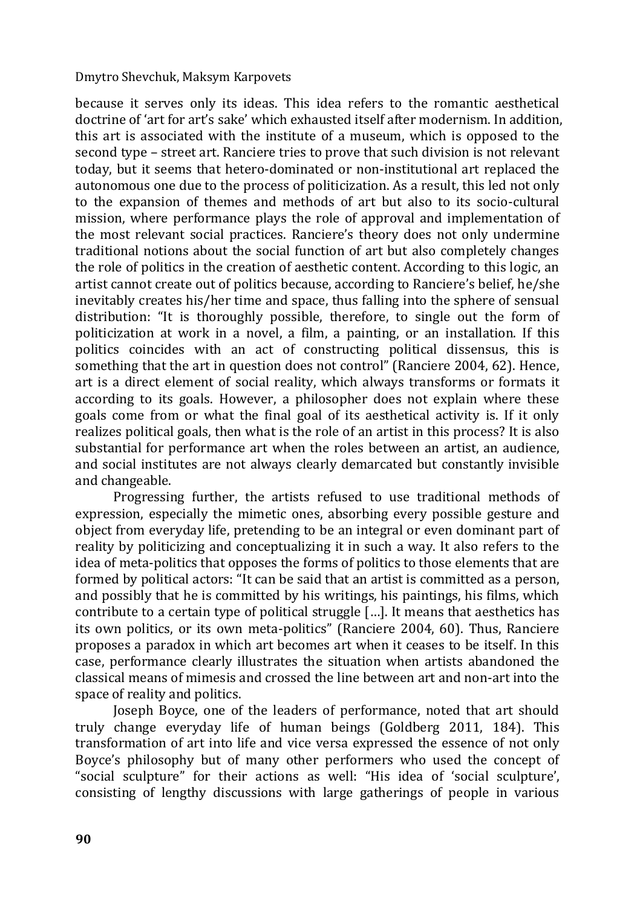because it serves only its ideas. This idea refers to the romantic aesthetical doctrine of 'art for art's sake' which exhausted itself after modernism. In addition, this art is associated with the institute of a museum, which is opposed to the second type – street art. Ranciere tries to prove that such division is not relevant today, but it seems that hetero-dominated or non-institutional art replaced the autonomous one due to the process of politicization. As a result, this led not only to the expansion of themes and methods of art but also to its socio-cultural mission, where performance plays the role of approval and implementation of the most relevant social practices. Ranciere's theory does not only undermine traditional notions about the social function of art but also completely changes the role of politics in the creation of aesthetic content. According to this logic, an artist cannot create out of politics because, according to Ranciere's belief, he/she inevitably creates his/her time and space, thus falling into the sphere of sensual distribution: "It is thoroughly possible, therefore, to single out the form of politicization at work in a novel, a film, a painting, or an installation. If this politics coincides with an act of constructing political dissensus, this is something that the art in question does not control" (Ranciere 2004, 62). Hence, art is a direct element of social reality, which always transforms or formats it according to its goals. However, a philosopher does not explain where these goals come from or what the final goal of its aesthetical activity is. If it only realizes political goals, then what is the role of an artist in this process? It is also substantial for performance art when the roles between an artist, an audience, and social institutes are not always clearly demarcated but constantly invisible and changeable.

Progressing further, the artists refused to use traditional methods of expression, especially the mimetic ones, absorbing every possible gesture and object from everyday life, pretending to be an integral or even dominant part of reality by politicizing and conceptualizing it in such a way. It also refers to the idea of meta-politics that opposes the forms of politics to those elements that are formed by political actors: "It can be said that an artist is committed as a person, and possibly that he is committed by his writings, his paintings, his films, which contribute to a certain type of political struggle […]. It means that aesthetics has its own politics, or its own meta-politics" (Ranciere 2004, 60). Thus, Ranciere proposes a paradox in which art becomes art when it ceases to be itself. In this case, performance clearly illustrates the situation when artists abandoned the classical means of mimesis and crossed the line between art and non-art into the space of reality and politics.

Joseph Boyce, one of the leaders of performance, noted that art should truly change everyday life of human beings (Goldberg 2011, 184). This transformation of art into life and vice versa expressed the essence of not only Boyce's philosophy but of many other performers who used the concept of "social sculpture" for their actions as well: "His idea of 'social sculpture', consisting of lengthy discussions with large gatherings of people in various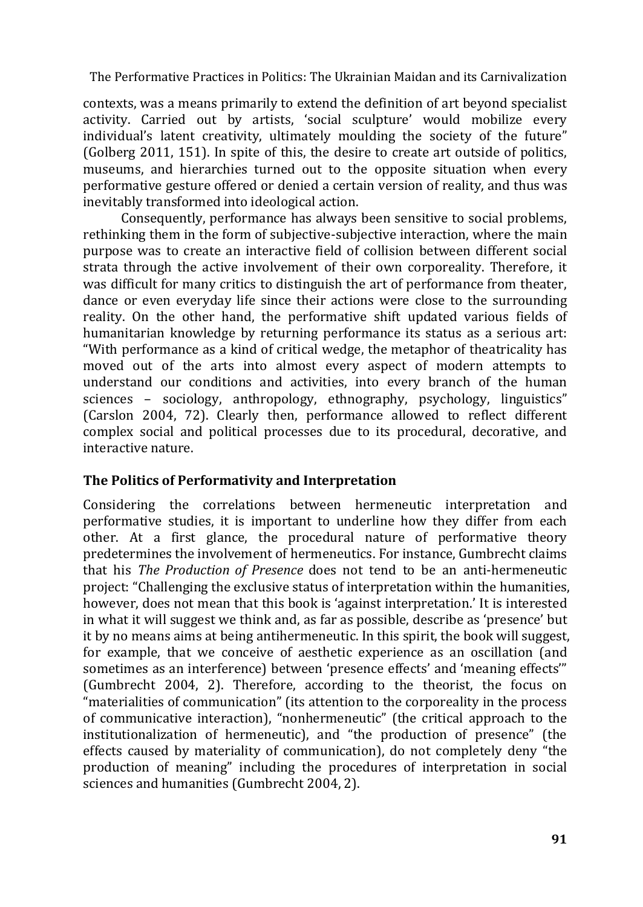contexts, was a means primarily to extend the definition of art beyond specialist activity. Carried out by artists, 'social sculpture' would mobilize every individual's latent creativity, ultimately moulding the society of the future" (Golberg 2011, 151). In spite of this, the desire to create art outside of politics, museums, and hierarchies turned out to the opposite situation when every performative gesture offered or denied a certain version of reality, and thus was inevitably transformed into ideological action.

Consequently, performance has always been sensitive to social problems, rethinking them in the form of subjective-subjective interaction, where the main purpose was to create an interactive field of collision between different social strata through the active involvement of their own corporeality. Therefore, it was difficult for many critics to distinguish the art of performance from theater, dance or even everyday life since their actions were close to the surrounding reality. On the other hand, the performative shift updated various fields of humanitarian knowledge by returning performance its status as a serious art: "With performance as a kind of critical wedge, the metaphor of theatricality has moved out of the arts into almost every aspect of modern attempts to understand our conditions and activities, into every branch of the human sciences – sociology, anthropology, ethnography, psychology, linguistics" (Carslon 2004, 72). Clearly then, performance allowed to reflect different complex social and political processes due to its procedural, decorative, and interactive nature.

## **The Politics of Performativity and Interpretation**

Considering the correlations between hermeneutic interpretation and performative studies, it is important to underline how they differ from each other. At a first glance, the procedural nature of performative theory predetermines the involvement of hermeneutics. For instance, Gumbrecht claims that his *The Production of Presence* does not tend to be an anti-hermeneutic project: "Challenging the exclusive status of interpretation within the humanities, however, does not mean that this book is 'against interpretation.' It is interested in what it will suggest we think and, as far as possible, describe as 'presence' but it by no means aims at being antihermeneutic. In this spirit, the book will suggest, for example, that we conceive of aesthetic experience as an oscillation (and sometimes as an interference) between 'presence effects' and 'meaning effects'" (Gumbrecht 2004, 2). Therefore, according to the theorist, the focus on "materialities of communication" (its attention to the corporeality in the process of communicative interaction), "nonhermeneutic" (the critical approach to the institutionalization of hermeneutic), and "the production of presence" (the effects caused by materiality of communication), do not completely deny "the production of meaning" including the procedures of interpretation in social sciences and humanities (Gumbrecht 2004, 2).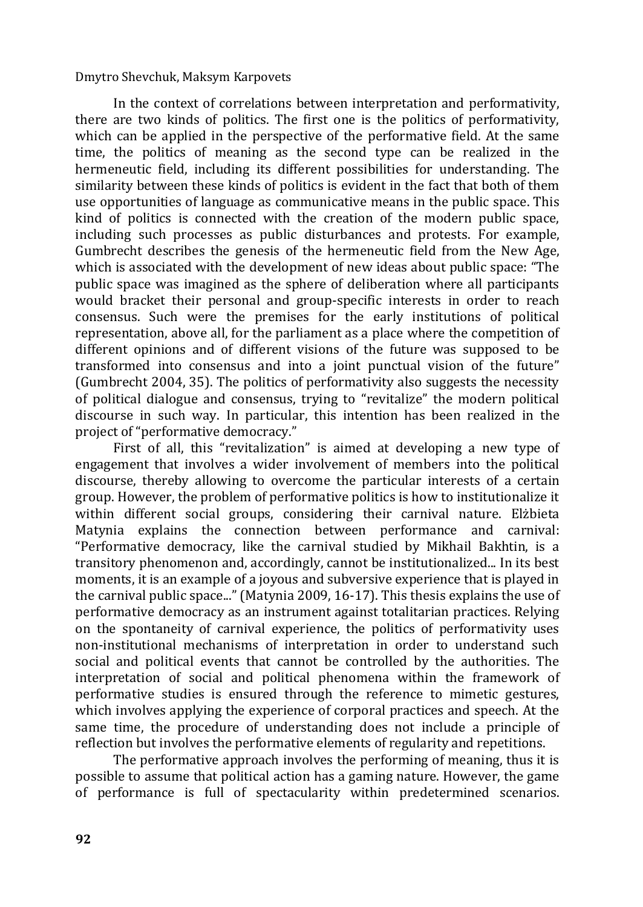In the context of correlations between interpretation and performativity, there are two kinds of politics. The first one is the politics of performativity, which can be applied in the perspective of the performative field. At the same time, the politics of meaning as the second type can be realized in the hermeneutic field, including its different possibilities for understanding. The similarity between these kinds of politics is evident in the fact that both of them use opportunities of language as communicative means in the public space. This kind of politics is connected with the creation of the modern public space, including such processes as public disturbances and protests. For example, Gumbrecht describes the genesis of the hermeneutic field from the New Age, which is associated with the development of new ideas about public space: "The public space was imagined as the sphere of deliberation where all participants would bracket their personal and group-specific interests in order to reach consensus. Such were the premises for the early institutions of political representation, above all, for the parliament as a place where the competition of different opinions and of different visions of the future was supposed to be transformed into consensus and into a joint punctual vision of the future" (Gumbrecht 2004, 35). The politics of performativity also suggests the necessity of political dialogue and consensus, trying to "revitalize" the modern political discourse in such way. In particular, this intention has been realized in the project of "performative democracy."

First of all, this "revitalization" is aimed at developing a new type of engagement that involves a wider involvement of members into the political discourse, thereby allowing to overcome the particular interests of a certain group. However, the problem of performative politics is how to institutionalize it within different social groups, considering their carnival nature. Elżbieta Matynia explains the connection between performance and carnival: "Performative democracy, like the carnival studied by Mikhail Bakhtin, is a transitory phenomenon and, accordingly, cannot be institutionalized... In its best moments, it is an example of a joyous and subversive experience that is played in the carnival public space..." (Matynia 2009, 16-17). This thesis explains the use of performative democracy as an instrument against totalitarian practices. Relying on the spontaneity of carnival experience, the politics of performativity uses non-institutional mechanisms of interpretation in order to understand such social and political events that cannot be controlled by the authorities. The interpretation of social and political phenomena within the framework of performative studies is ensured through the reference to mimetic gestures, which involves applying the experience of corporal practices and speech. At the same time, the procedure of understanding does not include a principle of reflection but involves the performative elements of regularity and repetitions.

The performative approach involves the performing of meaning, thus it is possible to assume that political action has a gaming nature. However, the game of performance is full of spectacularity within predetermined scenarios.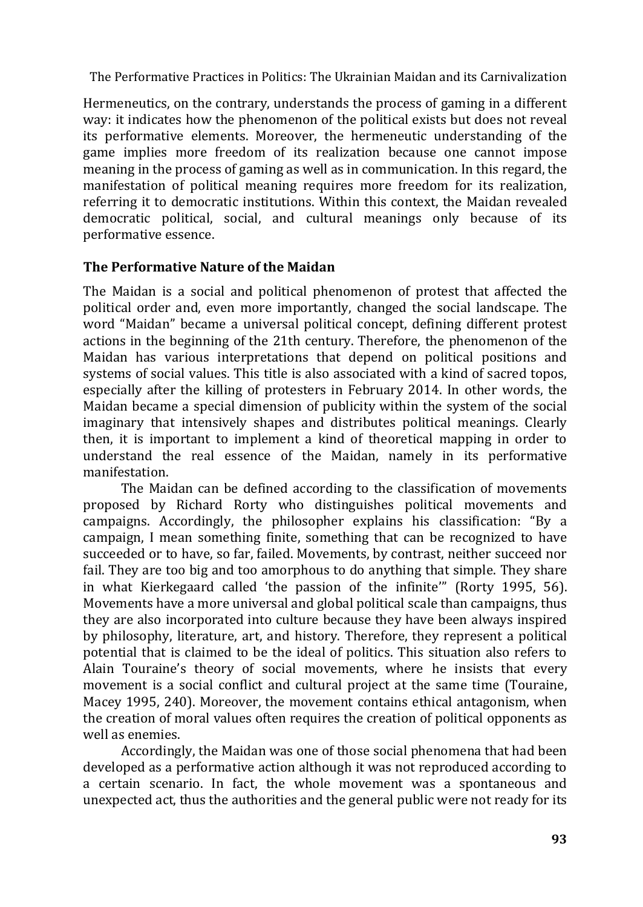Hermeneutics, on the contrary, understands the process of gaming in a different way: it indicates how the phenomenon of the political exists but does not reveal its performative elements. Moreover, the hermeneutic understanding of the game implies more freedom of its realization because one cannot impose meaning in the process of gaming as well as in communication. In this regard, the manifestation of political meaning requires more freedom for its realization, referring it to democratic institutions. Within this context, the Maidan revealed democratic political, social, and cultural meanings only because of its performative essence.

## **The Performative Nature of the Maidan**

The Maidan is a social and political phenomenon of protest that affected the political order and, even more importantly, changed the social landscape. The word "Maidan" became a universal political concept, defining different protest actions in the beginning of the 21th century. Therefore, the phenomenon of the Maidan has various interpretations that depend on political positions and systems of social values. This title is also associated with a kind of sacred topos, especially after the killing of protesters in February 2014. In other words, the Maidan became a special dimension of publicity within the system of the social imaginary that intensively shapes and distributes political meanings. Clearly then, it is important to implement a kind of theoretical mapping in order to understand the real essence of the Maidan, namely in its performative manifestation.

The Maidan can be defined according to the classification of movements proposed by Richard Rorty who distinguishes political movements and campaigns. Accordingly, the philosopher explains his classification: "By a campaign, I mean something finite, something that can be recognized to have succeeded or to have, so far, failed. Movements, by contrast, neither succeed nor fail. They are too big and too amorphous to do anything that simple. They share in what Kierkegaard called 'the passion of the infinite'" (Rorty 1995, 56). Movements have a more universal and global political scale than campaigns, thus they are also incorporated into culture because they have been always inspired by philosophy, literature, art, and history. Therefore, they represent a political potential that is claimed to be the ideal of politics. This situation also refers to Alain Touraine's theory of social movements, where he insists that every movement is a social conflict and cultural project at the same time (Touraine, Macey 1995, 240). Moreover, the movement contains ethical antagonism, when the creation of moral values often requires the creation of political opponents as well as enemies.

Accordingly, the Maidan was one of those social phenomena that had been developed as a performative action although it was not reproduced according to a certain scenario. In fact, the whole movement was a spontaneous and unexpected act, thus the authorities and the general public were not ready for its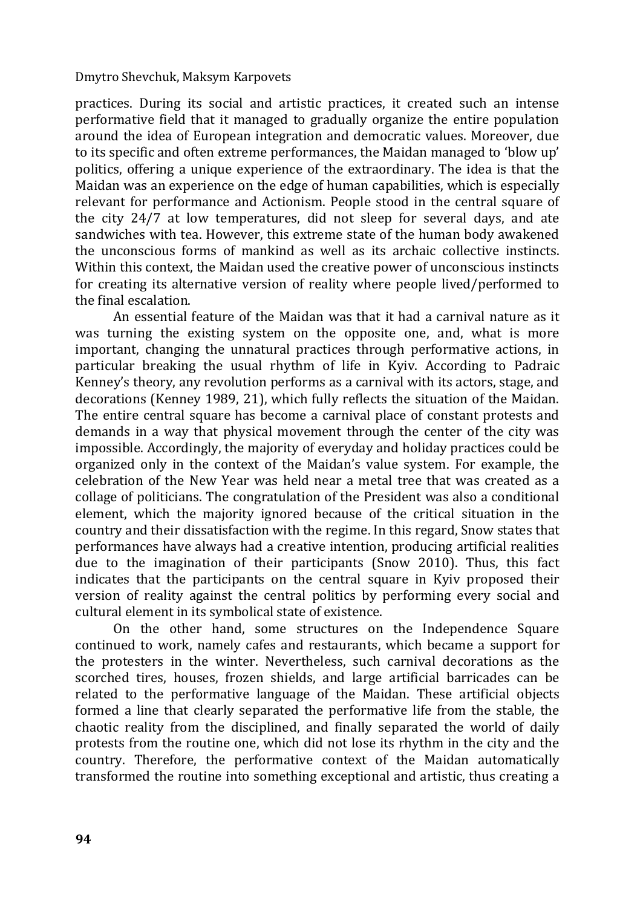practices. During its social and artistic practices, it created such an intense performative field that it managed to gradually organize the entire population around the idea of European integration and democratic values. Moreover, due to its specific and often extreme performances, the Maidan managed to 'blow up' politics, offering a unique experience of the extraordinary. The idea is that the Maidan was an experience on the edge of human capabilities, which is especially relevant for performance and Actionism. People stood in the central square of the city 24/7 at low temperatures, did not sleep for several days, and ate sandwiches with tea. However, this extreme state of the human body awakened the unconscious forms of mankind as well as its archaic collective instincts. Within this context, the Maidan used the creative power of unconscious instincts for creating its alternative version of reality where people lived/performed to the final escalation.

An essential feature of the Maidan was that it had a carnival nature as it was turning the existing system on the opposite one, and, what is more important, changing the unnatural practices through performative actions, in particular breaking the usual rhythm of life in Kyiv. According to Padraic Kenney's theory, any revolution performs as a carnival with its actors, stage, and decorations (Kenney 1989, 21), which fully reflects the situation of the Maidan. The entire central square has become a carnival place of constant protests and demands in a way that physical movement through the center of the city was impossible. Accordingly, the majority of everyday and holiday practices could be organized only in the context of the Maidan's value system. For example, the celebration of the New Year was held near a metal tree that was created as a collage of politicians. The congratulation of the President was also a conditional element, which the majority ignored because of the critical situation in the country and their dissatisfaction with the regime. In this regard, Snow states that performances have always had a creative intention, producing artificial realities due to the imagination of their participants (Snow 2010). Thus, this fact indicates that the participants on the central square in Kyiv proposed their version of reality against the central politics by performing every social and cultural element in its symbolical state of existence.

On the other hand, some structures on the Independence Square continued to work, namely cafes and restaurants, which became a support for the protesters in the winter. Nevertheless, such carnival decorations as the scorched tires, houses, frozen shields, and large artificial barricades can be related to the performative language of the Maidan. These artificial objects formed a line that clearly separated the performative life from the stable, the chaotic reality from the disciplined, and finally separated the world of daily protests from the routine one, which did not lose its rhythm in the city and the country. Therefore, the performative context of the Maidan automatically transformed the routine into something exceptional and artistic, thus creating a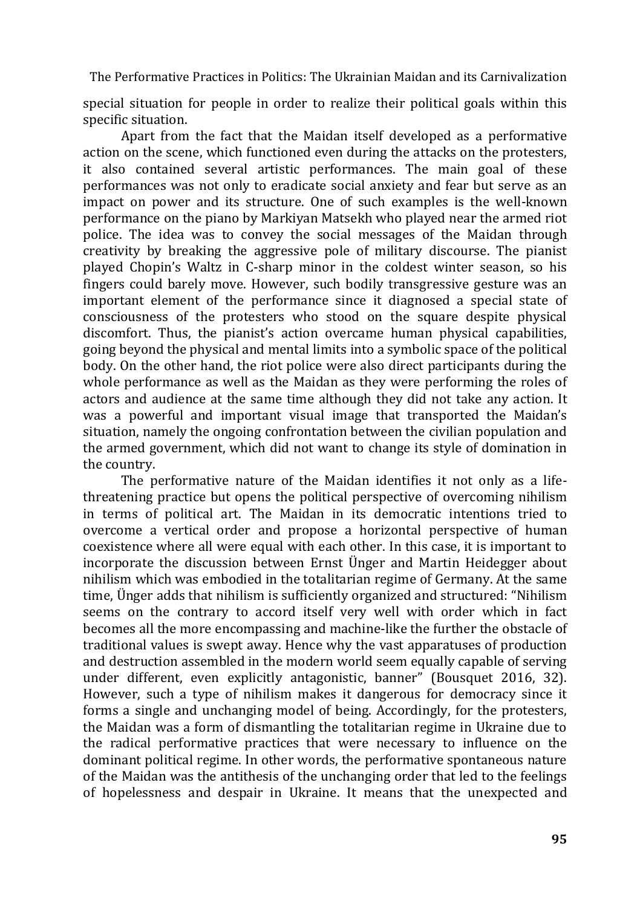special situation for people in order to realize their political goals within this specific situation.

Apart from the fact that the Maidan itself developed as a performative action on the scene, which functioned even during the attacks on the protesters, it also contained several artistic performances. The main goal of these performances was not only to eradicate social anxiety and fear but serve as an impact on power and its structure. One of such examples is the well-known performance on the piano by Markiyan Matsekh who played near the armed riot police. The idea was to convey the social messages of the Maidan through creativity by breaking the aggressive pole of military discourse. The pianist played Chopin's Waltz in C-sharp minor in the coldest winter season, so his fingers could barely move. However, such bodily transgressive gesture was an important element of the performance since it diagnosed a special state of consciousness of the protesters who stood on the square despite physical discomfort. Thus, the pianist's action overcame human physical capabilities, going beyond the physical and mental limits into a symbolic space of the political body. On the other hand, the riot police were also direct participants during the whole performance as well as the Maidan as they were performing the roles of actors and audience at the same time although they did not take any action. It was a powerful and important visual image that transported the Maidan's situation, namely the ongoing confrontation between the civilian population and the armed government, which did not want to change its style of domination in the country.

The performative nature of the Maidan identifies it not only as a lifethreatening practice but opens the political perspective of overcoming nihilism in terms of political art. The Maidan in its democratic intentions tried to overcome a vertical order and propose a horizontal perspective of human coexistence where all were equal with each other. In this case, it is important to incorporate the discussion between Ernst Ünger and Martin Heidegger about nihilism which was embodied in the totalitarian regime of Germany. At the same time, Ünger adds that nihilism is sufficiently organized and structured: "Nihilism seems on the contrary to accord itself very well with order which in fact becomes all the more encompassing and machine-like the further the obstacle of traditional values is swept away. Hence why the vast apparatuses of production and destruction assembled in the modern world seem equally capable of serving under different, even explicitly antagonistic, banner" (Bousquet 2016, 32). However, such a type of nihilism makes it dangerous for democracy since it forms a single and unchanging model of being. Accordingly, for the protesters, the Maidan was a form of dismantling the totalitarian regime in Ukraine due to the radical performative practices that were necessary to influence on the dominant political regime. In other words, the performative spontaneous nature of the Maidan was the antithesis of the unchanging order that led to the feelings of hopelessness and despair in Ukraine. It means that the unexpected and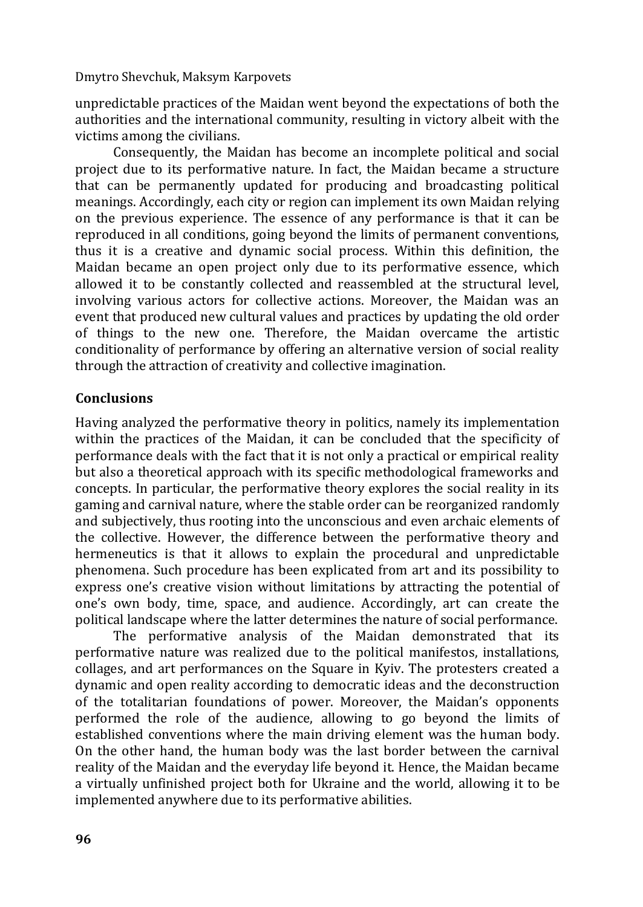unpredictable practices of the Maidan went beyond the expectations of both the authorities and the international community, resulting in victory albeit with the victims among the civilians.

Consequently, the Maidan has become an incomplete political and social project due to its performative nature. In fact, the Maidan became a structure that can be permanently updated for producing and broadcasting political meanings. Accordingly, each city or region can implement its own Maidan relying on the previous experience. The essence of any performance is that it can be reproduced in all conditions, going beyond the limits of permanent conventions, thus it is a creative and dynamic social process. Within this definition, the Maidan became an open project only due to its performative essence, which allowed it to be constantly collected and reassembled at the structural level, involving various actors for collective actions. Moreover, the Maidan was an event that produced new cultural values and practices by updating the old order of things to the new one. Therefore, the Maidan overcame the artistic conditionality of performance by offering an alternative version of social reality through the attraction of creativity and collective imagination.

## **Conclusions**

Having analyzed the performative theory in politics, namely its implementation within the practices of the Maidan, it can be concluded that the specificity of performance deals with the fact that it is not only a practical or empirical reality but also a theoretical approach with its specific methodological frameworks and concepts. In particular, the performative theory explores the social reality in its gaming and carnival nature, where the stable order can be reorganized randomly and subjectively, thus rooting into the unconscious and even archaic elements of the collective. However, the difference between the performative theory and hermeneutics is that it allows to explain the procedural and unpredictable phenomena. Such procedure has been explicated from art and its possibility to express one's creative vision without limitations by attracting the potential of one's own body, time, space, and audience. Accordingly, art can create the political landscape where the latter determines the nature of social performance.

The performative analysis of the Maidan demonstrated that its performative nature was realized due to the political manifestos, installations, collages, and art performances on the Square in Kyiv. The protesters created a dynamic and open reality according to democratic ideas and the deconstruction of the totalitarian foundations of power. Moreover, the Maidan's opponents performed the role of the audience, allowing to go beyond the limits of established conventions where the main driving element was the human body. On the other hand, the human body was the last border between the carnival reality of the Maidan and the everyday life beyond it. Hence, the Maidan became a virtually unfinished project both for Ukraine and the world, allowing it to be implemented anywhere due to its performative abilities.